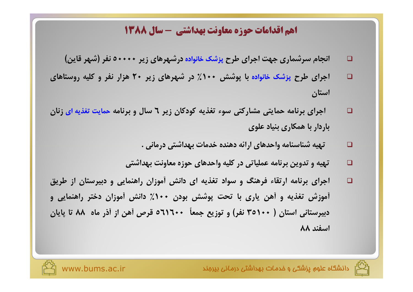## اهم اقدامات حوزه معاونت بهداشتي - سال 1388

- انجام سرشماری جهت اجرای طرح پزشک خانواده درشهرهای زیر ۵۰۰۰۰۰ نفر (شهر قاین)  $\Box$
- اجرای طرح پزشک خانواده با پوشش ۱۰۰٪ در شهرهای زیر ۲۰ هزار نفر و کلیه روستاهای  $\Box$ استان
- اجرای برنامه حمایتی مشارکتی سوء تغذیه کودکان زیر ٦ سال و برنامه حمایت تغذیه ای زنان  $\Box$ باردار با همکاری بنیاد علوی
	- تهيه شناسنامه واحدهاي ارائه دهنده خدمات بهداشتي درماني .  $\Box$
	- تهیه و تدوین برنامه عملیاتی در کلیه واحدهای حوزه معاونت بهداشتی  $\Box$
- اجرای برنامه ارتقاء فرهنگ و سواد تغذیه ای دانش آموزان راهنمایی و دبیرستان از طریق  $\Box$ آموزش تغذیه و آهن یاری با تحت پوشش بودن ۱۰۰٪ دانش آموزان دختر راهنمایی و دبیرستانی استان ( ۳٥۱۰۰ نفر) و توزیع جمعاً ۳۰۰-۵۱۱ قرص آهن از آذر ماه ۸۸ تا پایان اسفند ۸۸



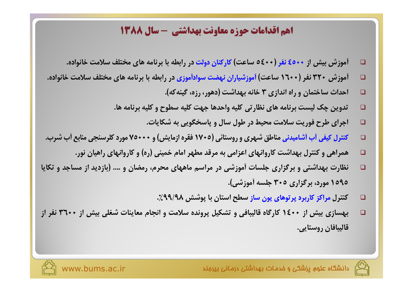## **اهم اقدامات حوزه معاونت بهداشتی - سال ۱۳۸۸**

- آموزش بیش از ۶۵۰۰ نفر (۶۰۰ م ساعت) کارکنان دولت در رابطه با برنامه های مختلف سلامت خانواده.  $\Box$
- أموزش ۳۲۰ نفر (۱٦۰۰ ساعت) أموزشیاران نهضت سوادأموزی در رابطه با برنامه های مختلف سلامت خانواده.  $\Box$ 
	- احداث ساختمان و راه اندازی ۳ خانه بهداشت (دهور، رزه، گینه که). ◻
	- تدوین چک لیست برنامه های نظارتی کلیه واحدها جهت کلیه سطوح و کلیه برنامه ها.  $\Box$ 
		- اجرای طرح فوریت سلامت محیط در طول سال و پاسخگویی به شکایات.  $\Box$
- کنترل کیفی آب آشامیدنی مناطق شهری و روستائی (٧٠٥ فقره ازمایش) و ٧٠٠٠ مورد کلرسنجی منابع آب شرب.  $\Box$ 
	- همراهی و کنترل بهداشت کاروانهای اعزامی به مرقد مطهر امام خمینی (ره) و کاروانهای راهیان نور.  $\Box$
- نظارت بهداشتی و برگزاری جلسات آموزشی در مراسم ماههای محرم، رمضان و …. (بازدید از مساجد و تکایا  $\Box$ ۱۵۹۵ مورد، برگزاری ۳۰۵ جلسه أموزشی).
	- کنترل مراکز کاربرد پرتوهای یون ساز سطح استان با پوشش ۹۹/۹۸٪. □
- بهسازی بیش از ۱۶۰۰ کارگاه قالیبافی و تشکیل پرونده سلامت و انجام معاینات شغلی بیش از ۳۶۰۰ نفر از  $\Box$ قاليبافان روستايي.



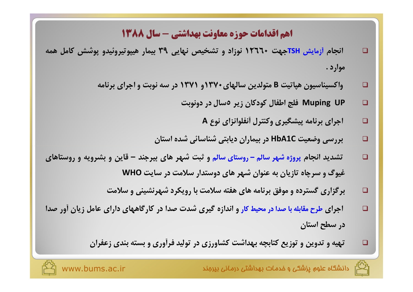# 135 اقدامات حوزه معاونت بهداشتی - سال ۱۳۸۸

- انجام آزمایش TSHجهت ۱۲٦٦۰ نوزاد و تشخیص نهایی ۳۹ بیمار هیپوتیروئیدو پوشش کامل همه  $\Box$ موار د .
	- واکسیناسیون هپاتیت B متولدین سالهای۲۷۰ و ۱۳۷۱ در سه نوبت و اجرای برنامه  $\Box$ 
		- Muping UP فلج اطفال كودكان زير 0سال در دونوبت  $\Box$ 
			- اجرای برنامه پیشگیری وکنترل أنفلوانزای نوع A  $\Box$
		- بررسی وضعیت HbA1C در بیماران دیابتی شناسائی شده استان  $\Box$
- تشدید انجام پروژه شهر سالم روستای سالم و ثبت شهر های بیرجند قاین و بشرویه و روستاهای  $\Box$ غیوگ و سرچاه تازیان به عنوان شهر های دوستدار سلامت در سایت WHO
	- برگزاری گسترده و موفق برنامه های هفته سلامت با رویکرد شهرنشینی و سلامت  $\Box$
- اجرای طرح مقابله با صدا در محیط کار و اندازه گیری شدت صدا در کارگاههای دارای عامل زیان آور صدا  $\Box$ در سطح استان
	- تهیه و تدوین و توزیع کتابچه بهداشت کشاورزی در تولید فرآوری و بسته بندی زعفران

❏



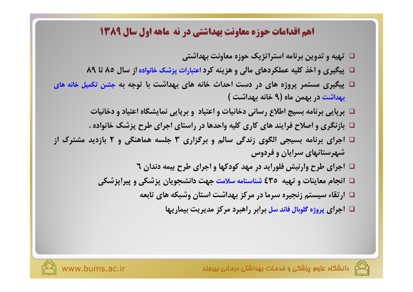## ۱هم اقدامات حوزه معاونت بهداشتی در نه ماهه اول سال ۱۳۸۹

- □ تهیه و تدوین برنامه استراتژیک حوزه معاونت بهداشتی
- □ پیگیری و اخذ کلیه عملکردهای مالی و هزینه کرد اعتبارات پزشک خانواده از سال ۸۵ تا ۸۹
- □ پیگیری مستمر پروژه های در دست احداث خانه های بهداشت با توجه به جشن تکمیل خانه های بهداشت در بهمن ماه (۹ خانه بهداشت )
	- □ برپایی برنامه بسیج اطلاع رسانی دخانیات و اعتیاد و برپایی نمایشگاه اعتیاد و دخانیات
	- □ بازنگری و اصلاح فرایند های کاری کلیه واحدها در راستای اجرای طرح پزشک خانواده .
- □ اجرای برنامه بسیجی الگوی زندگی سالم و برگزاری ٣ جلسه هماهنگی و ٢ بازدید مشترک از شهرستانهای سرایان و فردوس
	- □ اجرای طرح وارنیش فلوراید در مهد کودکها و اجرای طرح بیمه دندان ٦
	- ا انجام معاینات و تهیه ٤٣٥ شناسنامه سلامت جهت دانشجویان پزشکی و پیرایزشکی  $\Box$ 
		- □ ارتقاء سیستم زنجیره سرما در مرکز بهداشت استان وشبکه های تابعه
			- □ |جرای پروژه گلوبال فاند سل برابر راهبرد مرکز مدیریت بیماریها

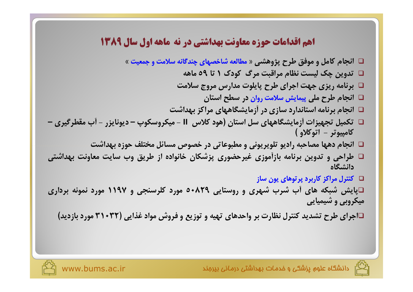## 13م اقدامات حوزه معاونت بهداشتی در نه ماهه اول سال ۱۳۸۹

- □ انجام کامل و موفق طرح پژوهشی « مطالعه شاخصهای چندگانه سلامت و جمعیت »
	- □ تدوین چک لیست نظام مراقبت مرگ کودک ١ تا ٥٩ ماهه
	- $\Box$  برنامه ریزی جهت اجرای طرح پایلوت مدارس مروج سلامت
		- □ انجام طرح ملي پيمايش سلامت روان در سطح استان
	- □ انجام برنامه استاندارد سازی در أزمایشگاههای مراکز بهداشت
- □ تکمیل تجهیزات آزمایشگاههای سل استان (هود کلاس II میکروسکوپ دیونایزر آب مقطرگیری كامبيوتر - اتوكلاو )
	- □ انجام دهها مصاحبه راديو تلويريوني و مطبوعاتي در خصوص مسائل مختلف حوزه بهداشت
- ا طراحی و تدوین برنامه بازآموزی غیرحضوری پزشکان خانواده از طریق وب سایت معاونت بهداشتی  $\square$ دانشگاه
	- $\Box$  کنترل مراکز کاربرد پرتوهای پون ساز  $\Box$
- □پایش شبکه های آب شرب شهری و روستایی ۸۲۹+۵ مورد کلرسنجی و ۱۱۹۷ مورد نمونه برداری میکروبی و شیمیایی
	- □اجرای طرح تشدید کنترل نظارت بر واحدهای تهیه و توزیع و فروش مواد غذایی (٣٢٠٣٢ مورد بازدید)

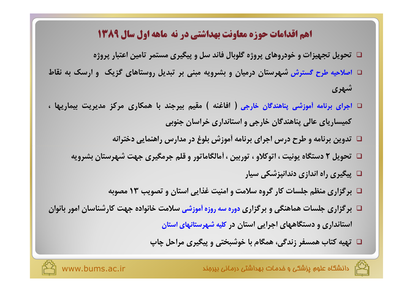## ۱هم اقدامات حوزه معاونت بهداشتی در نه ماهه اول سال ۱۳۸۹

- □ تحویل تجهیزات و خودروهای پروژه گلوبال فاند سل و پیگیری مستمر تامین اعتبار پروژه
- □ اصلاحیه طرح گسترش شهرستان درمیان و بشرویه مبنی بر تبدیل روستاهای گزیک و ارسک به نقاط شهری
- □ اجرای برنامه آموزشی پناهندگان خارجی ( افاغنه ) مقیم بیرجند با همکاری مرکز مدیریت بیماریها ، کمیساریای عالی پناهندگان خارجی و استانداری خراسان جنوبی
	- □ تدوین برنامه و طرح درس اجرای برنامه آموزش بلوغ در مدارس راهنمایی دخترانه
	- □ تحویل ٢ دستگاه پونیت ، اتوکلاو ، توربین ، أمالگاماتور و قلم جرمگیری جهت شهرستان بشرویه
		- □ پیگیری راه اندازی دندانپزشکی سیار
		- □ برگزاری منظم جلسات کار گروه سلامت و امنیت غذایی استان و تصویب ١٣ مصوبه
- □ برگزاری جلسات هماهنگی و برگزاری دوره سه روزه آموزشی سلامت خانواده جهت کارشناسان امور بانوان استانداری و دستگاههای اجرایی استان در کلیه شهرستانهای استان
	- □ تهیه کتاب همسفر زندگی، همگام با خوشبختی و پیگیری مراحل چاپ

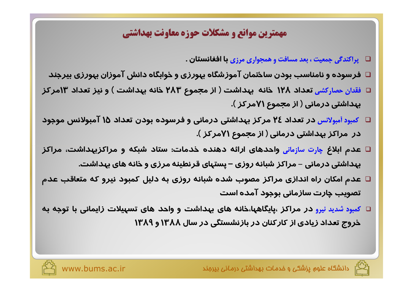## مهمترين موانع و مشكلات حوزه معاونت بهداشتي

□ پراکندگی جمعیت ، بعد مسافت و همجواری مرزی با **افغانستان .** 

- $\Box$  فرسوده و نامناسب بودن ساختمان آموزشگاه بهورزی و خوابگاه دانش آموزان بهورزی بیرجند
- □ فقدان حصاركشى تعداد ١٢٨ خانه بهداشت ( از مجموع ٢٨٣ خانه بهداشت ) و نيز تعداد ١٣مركز بهداشتی درمانی ( از مجموع ۷۱مرکز ).
- □ کمبود أمبولانس در تعداد ٢٤ مرکز بهداشتی درمانی و فرسوده بودن تعداد ١٥ آمبولانس موجود در ًمراکز بهداشتی درمانی ( از مجموع ۷۱مرکز ).
- □ عدم ابلاغ چارت سازمانی واحدهای ارائه دهنده خدمات: ستاد شبکه و مراکزبهداشت، مراکز بهداشتی درمانی – مراکز شبانه روزی – پستهای قرنطینه مرزی و خانه های بهداشت.
- عدم امکان راه اندازی مراکز مصوب شده شبانه روزی به دلیل کمبود نیرو که متعاقب عدم  $\Box$ تصویب چارت سازمانی بوجود آمده است
- □ کمبود شدید نیرو در مراکز ،پایگاهها،خانه های بهداشت و واحد های تسهیلات زایمانی با توجه به خروج تعداد زیادی از کارکنان در بازنشستگی در سال ۱۳۸۸ و ۱۳۸۹

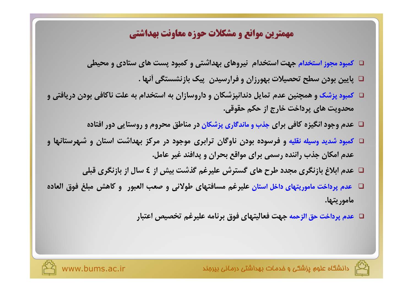## مهمترين موانع و مشكلات حوزه معاونت بهداشتي

- □ کمبود مجوز استخدام جهت استخدام نیروهای بهداشتی و کمبود پست های ستادی و محیطی
	- □ پایین بودن سطح تحصیلات بهورزان و فرارسیدن ِ پیک بازنشستگی آنها .
- □ کمبود پزشک و همچنین عدم تمایل دندانپزشکان و داروسازان به استخدام به علت ناکافی بودن دریافتی و محدویت های پرداخت خارج از حکم حقوقی.
	- □ عدم وجود انگیزه کافی برای جذب و ماندگاری پزشکان در مناطق محروم و روستایی دور افتاده
- □ کمبود شدید وسیله نقلیه و فرسوده بودن ناوگان ترابری موجود در مرکز بهداشت استان و شهرستانها و عدم امکان جذب راننده رسمی برای مواقع بحران و پدافند غیر عامل.
	- □ عدم ابلاغ بازنگری مجدد طرح های گسترش علیرغم گذشت بیش از ٤ سال از بازنگری قبلی
- □۔ عدم پرداخت ماموریتھای داخل استان علیرغم مسافتھای طولانی و صعب العبور۔ و کاھش مبلغ فوق العادہ۔ ماموريتها.
	- □ عدم پرداخت حق الزحمه جهت فعاليتهاي فوق برنامه عليرغم تخصيص اعتبار



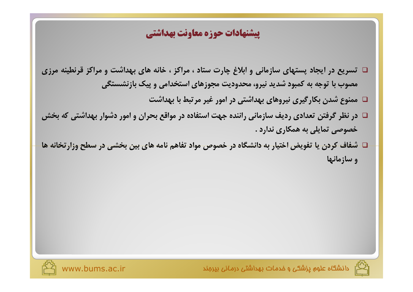## يبشنهادات حوزه معاونت بهداشتي

- □ تسریع در ایجاد پستهای سازمانی و ابلاغ چارت ستاد ، مراکز ، خانه های بهداشت و مراکز قرنطینه مرزی مصوب با توجه به کمبود شدید نیرو، محدودیت مجوزهای استخدامی و پیک بازنشستگی
	- □ ممنوع شدن بکارگیری نیروهای بهداشتی در امور غیر مرتبط با بهداشت
- در نظر گرفتن تعدادی ردیف سازمانی راننده جهت استفاده در مواقع بحران و امور دشوار بهداشتی که بخش خصوصی تمایلی به همکاری ندارد .
- □ شفاف کردن یا تفویض اختیار به دانشگاه در خصوص مواد تفاهم نامه های بین بخشی در سطح وزارتخانه ها و سازمانها



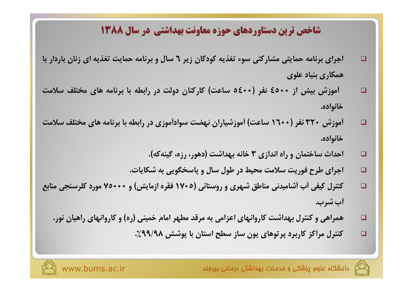## شاخص ترین دستاوردهای حوزه معاونت بهداشتی در سال ۱۳۸۸

- اجرای برنامه حمایتی مشارکتی سوء تغذیه کودکان زیر ٦ سال و برنامه حمایت تغذیه ای زنان باردار با  $\Box$ همكاري بنياد علوى
- آموزش بیش از ۶۵۰۰ نفر (۶۰۰۰ ساعت) کارکنان دولت در رابطه با برنامه های مختلف سلامت  $\Box$ خانواده.
- أموزش ۳۲۰ نفر (۱٦۰۰ ساعت) أموزشیاران نهضت سوادأموزی در رابطه با برنامه های مختلف سلامت  $\Box$ خانواده.
	- احداث ساختمان و راه اندازی ۳ خانه بهداشت (دهور، رزه، گینه که).  $\Box$
	- اجرای طرح فوریت سلامت محیط در طول سال و پاسخگویی به شکایات.  $\Box$
- کنترل کیفی آب آشامیدنی مناطق شهری و روستائی (۱۷۰۵ فقره ازمایش) و ۲۰۰۰۰ مورد کلرسنجی منابع  $\Box$ أب شرب.
	- همراهی و کنترل بهداشت کاروانهای اعزامی به مرقد مطهر امام خمینی (ره) و کاروانهای راهیان نور.  $\Box$ 
		- کنترل مراکز کاربرد پرتوهای یون ساز سطح استان با پوشش ۹۹/۹۸٪.  $\Box$

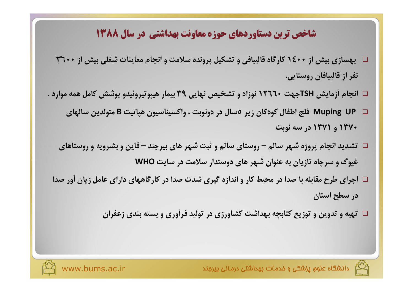# شاخص ترین دستاوردهای حوزه معاونت بهداشتی در سال ۱۳۸۸

- □ بهسازی بیش از 1٤٠٠ کارگاه قالیبافی و تشکیل پرونده سلامت و انجام معاینات شغلی بیش از 300 ۳۶۰ نفر از قاليبافان روستايي.
- □ انجام آزمایش TSHجهت 1۲٦٦٠ نوزاد و تشخیص نهایی ۳۹ بیمار هیپوتیروئیدو پوشش کامل همه موارد .
	- ⊠ Muping UP فلج اطفال کودکان زیر ٥سال در دونوبت ، واکسیناسیون هپاتیت B متولدین سالهای ١٣٧٠ و ١٣٧١ در سه نوبت
	- $\Box$  تشدید انجام پروژه شهر سالم روستای سالم و ثبت شهر های بیرجند قاین و بشرویه و روستاهای غیوگ و سرچاه تازیان به عنوان شهر های دوستدار سلامت در سایت WHO
- □ اجرای طرح مقابله با صدا در محیط کار و اندازه گیری شدت صدا در کارگاههای دارای عامل زیان أور صدا در سطح استان
	- □ تهیه و تدوین و توزیع کتابچه بهداشت کشاورزی در تولید فرأوری و بسته بندی زعفران



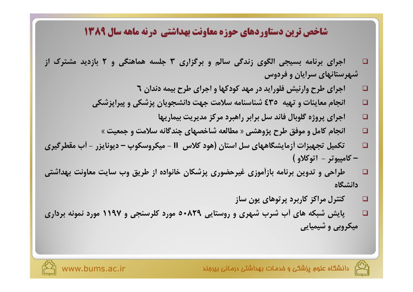## شاخص ترین دستاوردهای حوزه معاونت بهداشتی درنه ماهه سال ۱۳۸۹

- اجرای برنامه بسیجی الگوی زندگی سالم و برگزاری ۳ جلسه هماهنگی و ۲ بازدید مشترک از  $\Box$ شهرستانهای سرایان و فردوس
	- اجرای طرح وارنیش فلوراید در مهد کودکها و اجرای طرح بیمه دندان ٦  $\Box$
	- انجام معاینات و تهیه ٤٣٥ شناسنامه سلامت جهت دانشجویان پزشکی و پیراپزشکی  $\Box$ 
		- اجراي پروژه گلوبال فاند سل برابر راهبرد مركز مديريت بيماريها  $\Box$
		- انجام کامل و موفق طرح پژوهشی « مطالعه شاخصهای چندگانه سلامت و جمعیت »  $\Box$
- تكميل تجهيزات أزمايشگاههاي سل استان (هود كلاس II ميكروسكوپ ديونايزر أب مقطرگيري  $\Box$ - كامپيوتر - اتوكلاو )
- طراحی و تدوین برنامه بازآموزی غیرحضوری پزشکان خانواده از طریق وب سایت معاونت بهداشتی  $\Box$ دانشگاه
	- کنترل مراکز کاربرد پرتوهای یون ساز  $\Box$
- پایش شبکه های آب شرب شهری و روستایی ۸۲۹+۵ مورد کلرسنجی و ۱۱۹۷ مورد نمونه برداری  $\Box$ میکروبی و شیمیایی

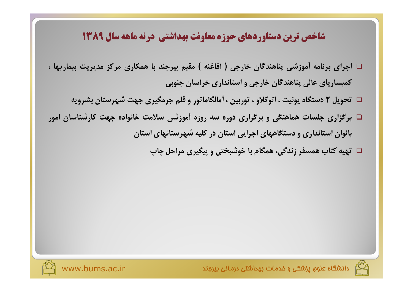#### شاخص ترین دستاوردهای حوزه معاونت بهداشتی درنه ماهه سال ۱۳۸۹

- □ اجرای برنامه أموزشی پناهندگان خارجی ( افاغنه ) مقیم بیرجند با همکاری مرکز مدیریت بیماریها ، کمیساریای عالی پناهندگان خارجی و استانداری خراسان جنوبی
	- □ تحویل ٢ دستگاه پونیت ، اتوکلاو ، توربین ، أمالگاماتور و قلم جرمگیری جهت شهرستان بشرویه
- □ برگزاری جلسات هماهنگی و برگزاری دوره سه روزه آموزشی سلامت خانواده جهت کارشناسان امور بانوان استانداری و دستگاههای اجرایی استان در کلیه شهرستانهای استان
	- □ تهیه کتاب همسفر زندگی، همگام با خوشبختی و پیگیری مراحل چاپ